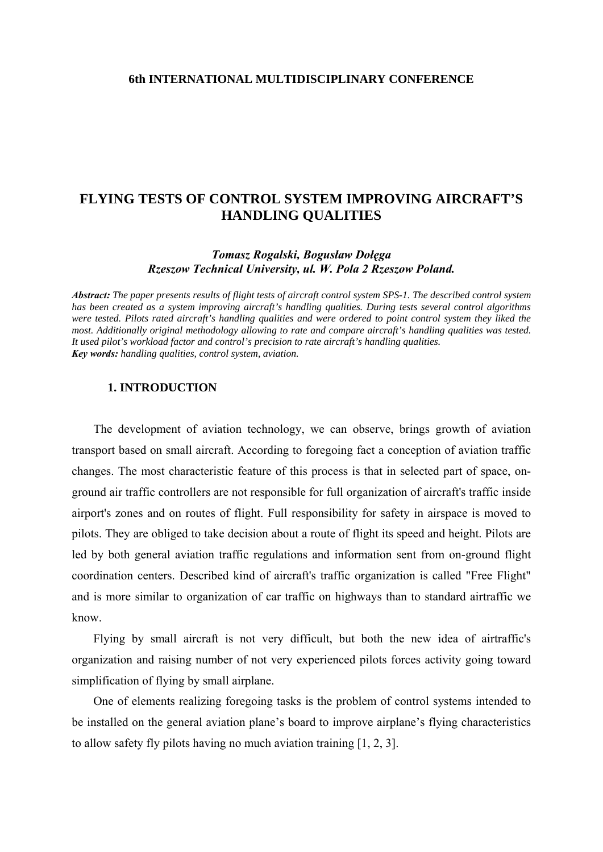## **FLYING TESTS OF CONTROL SYSTEM IMPROVING AIRCRAFT'S HANDLING QUALITIES**

*Tomasz Rogalski, Bogusław Dołęga Rzeszow Technical University, ul. W. Pola 2 Rzeszow Poland.* 

*Abstract: The paper presents results of flight tests of aircraft control system SPS-1. The described control system has been created as a system improving aircraft's handling qualities. During tests several control algorithms were tested. Pilots rated aircraft's handling qualities and were ordered to point control system they liked the most. Additionally original methodology allowing to rate and compare aircraft's handling qualities was tested. It used pilot's workload factor and control's precision to rate aircraft's handling qualities. Key words: handling qualities, control system, aviation.* 

## **1. INTRODUCTION**

The development of aviation technology, we can observe, brings growth of aviation transport based on small aircraft. According to foregoing fact a conception of aviation traffic changes. The most characteristic feature of this process is that in selected part of space, onground air traffic controllers are not responsible for full organization of aircraft's traffic inside airport's zones and on routes of flight. Full responsibility for safety in airspace is moved to pilots. They are obliged to take decision about a route of flight its speed and height. Pilots are led by both general aviation traffic regulations and information sent from on-ground flight coordination centers. Described kind of aircraft's traffic organization is called "Free Flight" and is more similar to organization of car traffic on highways than to standard airtraffic we know.

Flying by small aircraft is not very difficult, but both the new idea of airtraffic's organization and raising number of not very experienced pilots forces activity going toward simplification of flying by small airplane.

One of elements realizing foregoing tasks is the problem of control systems intended to be installed on the general aviation plane's board to improve airplane's flying characteristics to allow safety fly pilots having no much aviation training [1, 2, 3].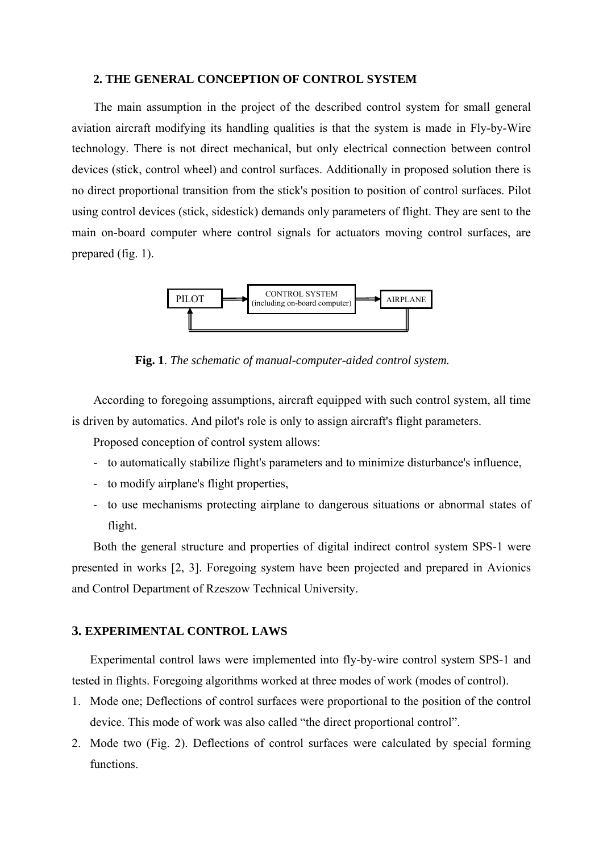### **2. THE GENERAL CONCEPTION OF CONTROL SYSTEM**

The main assumption in the project of the described control system for small general aviation aircraft modifying its handling qualities is that the system is made in Fly-by-Wire technology. There is not direct mechanical, but only electrical connection between control devices (stick, control wheel) and control surfaces. Additionally in proposed solution there is no direct proportional transition from the stick's position to position of control surfaces. Pilot using control devices (stick, sidestick) demands only parameters of flight. They are sent to the main on-board computer where control signals for actuators moving control surfaces, are prepared (fig. 1).



**Fig. 1**. *The schematic of manual-computer-aided control system.*

According to foregoing assumptions, aircraft equipped with such control system, all time is driven by automatics. And pilot's role is only to assign aircraft's flight parameters.

Proposed conception of control system allows:

- to automatically stabilize flight's parameters and to minimize disturbance's influence,
- to modify airplane's flight properties,
- to use mechanisms protecting airplane to dangerous situations or abnormal states of flight.

Both the general structure and properties of digital indirect control system SPS-1 were presented in works [2, 3]. Foregoing system have been projected and prepared in Avionics and Control Department of Rzeszow Technical University.

## **3. EXPERIMENTAL CONTROL LAWS**

Experimental control laws were implemented into fly-by-wire control system SPS-1 and tested in flights. Foregoing algorithms worked at three modes of work (modes of control).

- 1. Mode one; Deflections of control surfaces were proportional to the position of the control device. This mode of work was also called "the direct proportional control".
- 2. Mode two (Fig. 2). Deflections of control surfaces were calculated by special forming functions.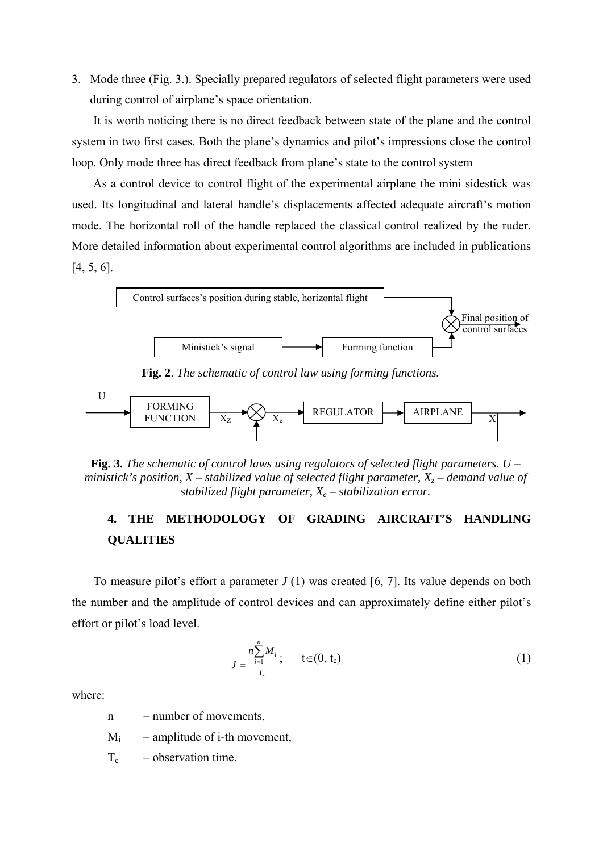3. Mode three (Fig. 3.). Specially prepared regulators of selected flight parameters were used during control of airplane's space orientation.

It is worth noticing there is no direct feedback between state of the plane and the control system in two first cases. Both the plane's dynamics and pilot's impressions close the control loop. Only mode three has direct feedback from plane's state to the control system

As a control device to control flight of the experimental airplane the mini sidestick was used. Its longitudinal and lateral handle's displacements affected adequate aircraft's motion mode. The horizontal roll of the handle replaced the classical control realized by the ruder. More detailed information about experimental control algorithms are included in publications [4, 5, 6].



**Fig. 3.** *The schematic of control laws using regulators of selected flight parameters. U – ministick's position, X – stabilized value of selected flight parameter,*  $X_z$  *– demand value of stabilized flight parameter,*  $X_e$  – *stabilization error.* 

# **4. THE METHODOLOGY OF GRADING AIRCRAFT'S HANDLING QUALITIES**

To measure pilot's effort a parameter *J* (1) was created [6, 7]. Its value depends on both the number and the amplitude of control devices and can approximately define either pilot's effort or pilot's load level.

$$
J = \frac{n \sum_{i=1}^{n} M_i}{t_c}; \qquad t \in (0, t_c)
$$
 (1)

where:

n – number of movements,

 $M_i$  – amplitude of i-th movement,

 $T_c$  – observation time.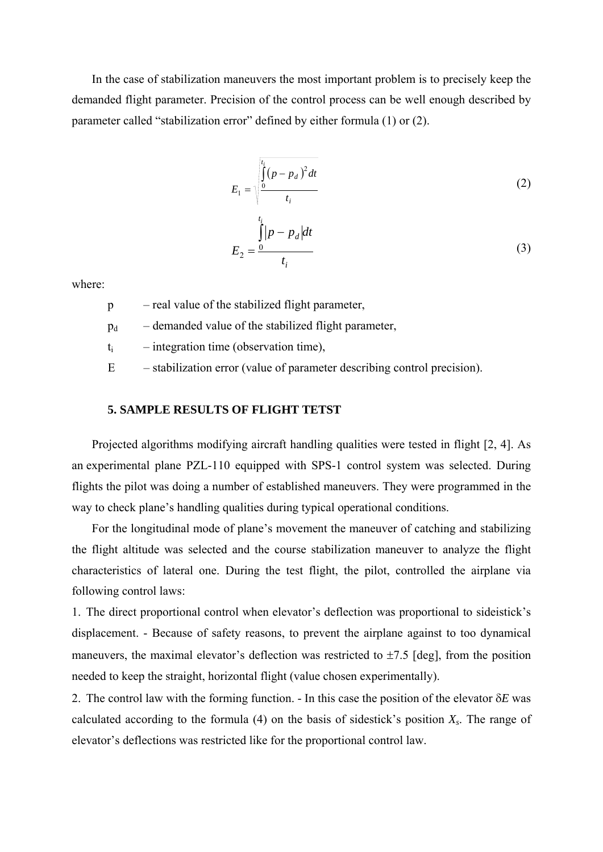In the case of stabilization maneuvers the most important problem is to precisely keep the demanded flight parameter. Precision of the control process can be well enough described by parameter called "stabilization error" defined by either formula (1) or (2).

$$
E_1 = \sqrt{\frac{\int_0^{t_i} (p - p_d)^2 dt}{t_i}}
$$
\n
$$
\int_1^{t_i} |p - p_d| dt
$$
\n(2)

$$
E_2 = \frac{0}{t_i} \tag{3}
$$

where:

p – real value of the stabilized flight parameter,

 $p_d$  – demanded value of the stabilized flight parameter,

 $t_i$  – integration time (observation time),

E – stabilization error (value of parameter describing control precision).

## **5. SAMPLE RESULTS OF FLIGHT TETST**

Projected algorithms modifying aircraft handling qualities were tested in flight [2, 4]. As an experimental plane PZL-110 equipped with SPS-1 control system was selected. During flights the pilot was doing a number of established maneuvers. They were programmed in the way to check plane's handling qualities during typical operational conditions.

For the longitudinal mode of plane's movement the maneuver of catching and stabilizing the flight altitude was selected and the course stabilization maneuver to analyze the flight characteristics of lateral one. During the test flight, the pilot, controlled the airplane via following control laws:

1. The direct proportional control when elevator's deflection was proportional to sideistick's displacement. - Because of safety reasons, to prevent the airplane against to too dynamical maneuvers, the maximal elevator's deflection was restricted to  $\pm$ 7.5 [deg], from the position needed to keep the straight, horizontal flight (value chosen experimentally).

2. The control law with the forming function. - In this case the position of the elevator δ*E* was calculated according to the formula  $(4)$  on the basis of sidestick's position  $X_s$ . The range of elevator's deflections was restricted like for the proportional control law.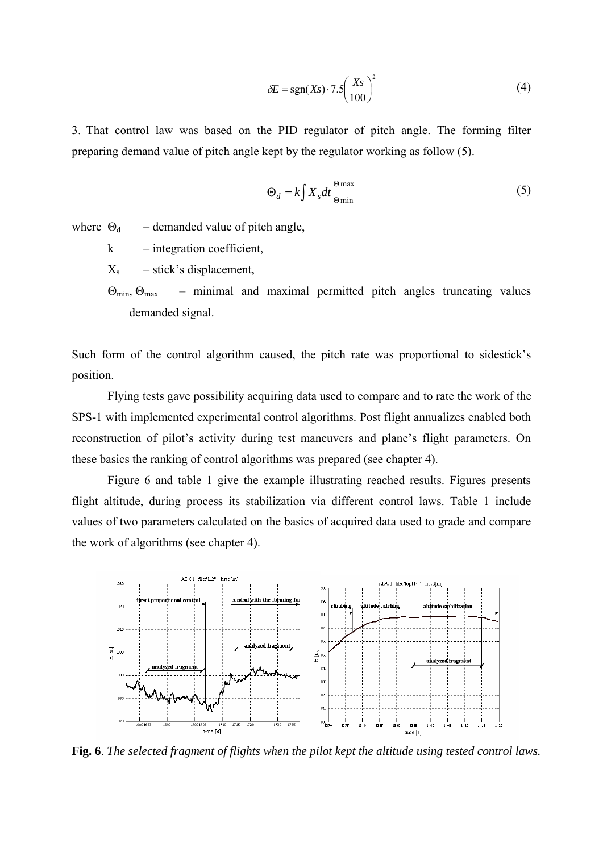$$
\delta E = \text{sgn}(Xs) \cdot 7.5 \left(\frac{Xs}{100}\right)^2 \tag{4}
$$

3. That control law was based on the PID regulator of pitch angle. The forming filter preparing demand value of pitch angle kept by the regulator working as follow (5).

$$
\Theta_d = k \int X_s dt \Big|_{\Theta \text{min}}^{\Theta \text{max}} \tag{5}
$$

where  $\Theta_d$  – demanded value of pitch angle,

k – integration coefficient,

 $X_s$  – stick's displacement,

 $\Theta_{\text{min}}$ ,  $\Theta_{\text{max}}$  – minimal and maximal permitted pitch angles truncating values demanded signal.

Such form of the control algorithm caused, the pitch rate was proportional to sidestick's position.

 Flying tests gave possibility acquiring data used to compare and to rate the work of the SPS-1 with implemented experimental control algorithms. Post flight annualizes enabled both reconstruction of pilot's activity during test maneuvers and plane's flight parameters. On these basics the ranking of control algorithms was prepared (see chapter 4).

 Figure 6 and table 1 give the example illustrating reached results. Figures presents flight altitude, during process its stabilization via different control laws. Table 1 include values of two parameters calculated on the basics of acquired data used to grade and compare the work of algorithms (see chapter 4).



**Fig. 6**. *The selected fragment of flights when the pilot kept the altitude using tested control laws.*